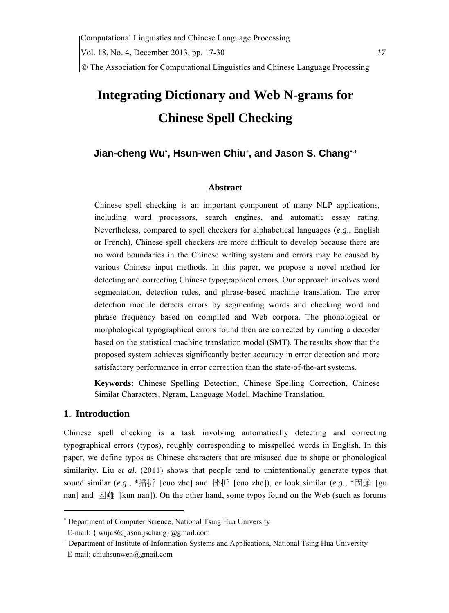# **Integrating Dictionary and Web N-grams for**

# **Chinese Spell Checking**

# **Jian-cheng Wu\*, Hsun-wen Chiu<sup>+</sup>, and Jason S. Chang<sup>\*,+</sup>**

#### **Abstract**

Chinese spell checking is an important component of many NLP applications, including word processors, search engines, and automatic essay rating. Nevertheless, compared to spell checkers for alphabetical languages (*e.g*., English or French), Chinese spell checkers are more difficult to develop because there are no word boundaries in the Chinese writing system and errors may be caused by various Chinese input methods. In this paper, we propose a novel method for detecting and correcting Chinese typographical errors. Our approach involves word segmentation, detection rules, and phrase-based machine translation. The error detection module detects errors by segmenting words and checking word and phrase frequency based on compiled and Web corpora. The phonological or morphological typographical errors found then are corrected by running a decoder based on the statistical machine translation model (SMT). The results show that the proposed system achieves significantly better accuracy in error detection and more satisfactory performance in error correction than the state-of-the-art systems.

**Keywords:** Chinese Spelling Detection, Chinese Spelling Correction, Chinese Similar Characters, Ngram, Language Model, Machine Translation.

# **1. Introduction**

Chinese spell checking is a task involving automatically detecting and correcting typographical errors (typos), roughly corresponding to misspelled words in English. In this paper, we define typos as Chinese characters that are misused due to shape or phonological similarity. Liu *et al.* (2011) shows that people tend to unintentionally generate typos that sound similar (*e.g*., \*措折 [cuo zhe] and 挫折 [cuo zhe]), or look similar (*e.g*., \*固難 [gu nan] and 困難 [kun nan]). On the other hand, some typos found on the Web (such as forums

 Department of Computer Science, National Tsing Hua University

E-mail: { wujc86; jason.jschang}@gmail.com

 Department of Institute of Information Systems and Applications, National Tsing Hua University E-mail: chiuhsunwen@gmail.com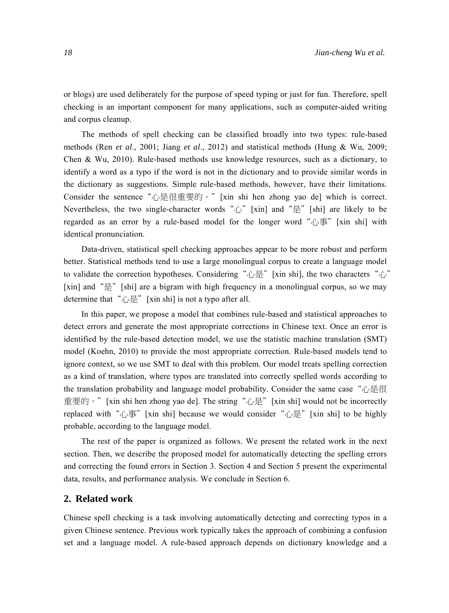or blogs) are used deliberately for the purpose of speed typing or just for fun. Therefore, spell checking is an important component for many applications, such as computer-aided writing and corpus cleanup.

The methods of spell checking can be classified broadly into two types: rule-based methods (Ren *et al*., 2001; Jiang *et al*., 2012) and statistical methods (Hung & Wu, 2009; Chen & Wu, 2010). Rule-based methods use knowledge resources, such as a dictionary, to identify a word as a typo if the word is not in the dictionary and to provide similar words in the dictionary as suggestions. Simple rule-based methods, however, have their limitations. Consider the sentence "心是很重要的。" [xin shi hen zhong yao de] which is correct. Nevertheless, the two single-character words " $\hat{v}$ " [xin] and " $\hat{\Xi}$ " [shi] are likely to be regarded as an error by a rule-based model for the longer word "心事" [xin shi] with identical pronunciation.

Data-driven, statistical spell checking approaches appear to be more robust and perform better. Statistical methods tend to use a large monolingual corpus to create a language model to validate the correction hypotheses. Considering "心是"[xin shi], the two characters "心" [xin] and "是" [shi] are a bigram with high frequency in a monolingual corpus, so we may determine that "心是" [xin shi] is not a typo after all.

In this paper, we propose a model that combines rule-based and statistical approaches to detect errors and generate the most appropriate corrections in Chinese text. Once an error is identified by the rule-based detection model, we use the statistic machine translation (SMT) model (Koehn, 2010) to provide the most appropriate correction. Rule-based models tend to ignore context, so we use SMT to deal with this problem. Our model treats spelling correction as a kind of translation, where typos are translated into correctly spelled words according to the translation probability and language model probability. Consider the same case "心是很 重要的。" [xin shi hen zhong yao de]. The string "心是" [xin shi] would not be incorrectly replaced with "心事" [xin shi] because we would consider "心是" [xin shi] to be highly probable, according to the language model.

The rest of the paper is organized as follows. We present the related work in the next section. Then, we describe the proposed model for automatically detecting the spelling errors and correcting the found errors in Section 3. Section 4 and Section 5 present the experimental data, results, and performance analysis. We conclude in Section 6.

#### **2. Related work**

Chinese spell checking is a task involving automatically detecting and correcting typos in a given Chinese sentence. Previous work typically takes the approach of combining a confusion set and a language model. A rule-based approach depends on dictionary knowledge and a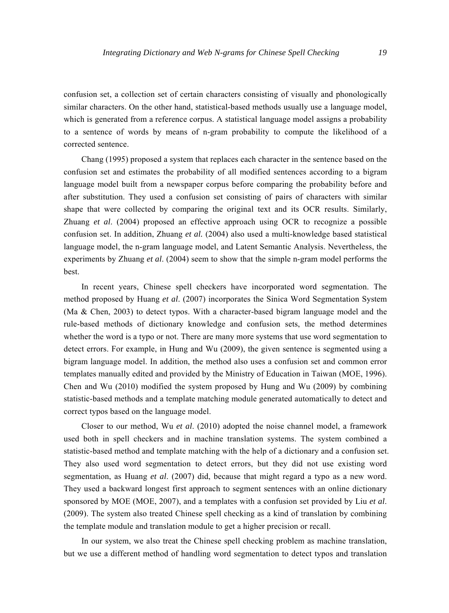confusion set, a collection set of certain characters consisting of visually and phonologically similar characters. On the other hand, statistical-based methods usually use a language model, which is generated from a reference corpus. A statistical language model assigns a probability to a sentence of words by means of n-gram probability to compute the likelihood of a corrected sentence.

Chang (1995) proposed a system that replaces each character in the sentence based on the confusion set and estimates the probability of all modified sentences according to a bigram language model built from a newspaper corpus before comparing the probability before and after substitution. They used a confusion set consisting of pairs of characters with similar shape that were collected by comparing the original text and its OCR results. Similarly, Zhuang *et al*. (2004) proposed an effective approach using OCR to recognize a possible confusion set. In addition, Zhuang *et al.* (2004) also used a multi-knowledge based statistical language model, the n-gram language model, and Latent Semantic Analysis. Nevertheless, the experiments by Zhuang *et al*. (2004) seem to show that the simple n-gram model performs the best.

In recent years, Chinese spell checkers have incorporated word segmentation. The method proposed by Huang *et al*. (2007) incorporates the Sinica Word Segmentation System (Ma & Chen, 2003) to detect typos. With a character-based bigram language model and the rule-based methods of dictionary knowledge and confusion sets, the method determines whether the word is a typo or not. There are many more systems that use word segmentation to detect errors. For example, in Hung and Wu (2009), the given sentence is segmented using a bigram language model. In addition, the method also uses a confusion set and common error templates manually edited and provided by the Ministry of Education in Taiwan (MOE, 1996). Chen and Wu (2010) modified the system proposed by Hung and Wu (2009) by combining statistic-based methods and a template matching module generated automatically to detect and correct typos based on the language model.

Closer to our method, Wu *et al*. (2010) adopted the noise channel model, a framework used both in spell checkers and in machine translation systems. The system combined a statistic-based method and template matching with the help of a dictionary and a confusion set. They also used word segmentation to detect errors, but they did not use existing word segmentation, as Huang *et al*. (2007) did, because that might regard a typo as a new word. They used a backward longest first approach to segment sentences with an online dictionary sponsored by MOE (MOE, 2007), and a templates with a confusion set provided by Liu *et al*. (2009). The system also treated Chinese spell checking as a kind of translation by combining the template module and translation module to get a higher precision or recall.

In our system, we also treat the Chinese spell checking problem as machine translation, but we use a different method of handling word segmentation to detect typos and translation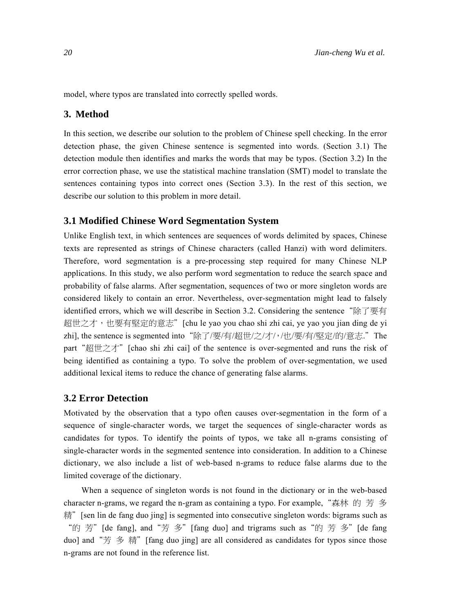model, where typos are translated into correctly spelled words.

# **3. Method**

In this section, we describe our solution to the problem of Chinese spell checking. In the error detection phase, the given Chinese sentence is segmented into words. (Section 3.1) The detection module then identifies and marks the words that may be typos. (Section 3.2) In the error correction phase, we use the statistical machine translation (SMT) model to translate the sentences containing typos into correct ones (Section 3.3). In the rest of this section, we describe our solution to this problem in more detail.

#### **3.1 Modified Chinese Word Segmentation System**

Unlike English text, in which sentences are sequences of words delimited by spaces, Chinese texts are represented as strings of Chinese characters (called Hanzi) with word delimiters. Therefore, word segmentation is a pre-processing step required for many Chinese NLP applications. In this study, we also perform word segmentation to reduce the search space and probability of false alarms. After segmentation, sequences of two or more singleton words are considered likely to contain an error. Nevertheless, over-segmentation might lead to falsely identified errors, which we will describe in Section 3.2. Considering the sentence"除了要有 超世之才,也要有堅定的意志"[chu le yao you chao shi zhi cai, ye yao you jian ding de yi zhi], the sentence is segmented into"除了/要/有/超世/之/才/,/也/要/有/堅定/的/意志."The part "超世之才" [chao shi zhi cai] of the sentence is over-segmented and runs the risk of being identified as containing a typo. To solve the problem of over-segmentation, we used additional lexical items to reduce the chance of generating false alarms.

#### **3.2 Error Detection**

Motivated by the observation that a typo often causes over-segmentation in the form of a sequence of single-character words, we target the sequences of single-character words as candidates for typos. To identify the points of typos, we take all n-grams consisting of single-character words in the segmented sentence into consideration. In addition to a Chinese dictionary, we also include a list of web-based n-grams to reduce false alarms due to the limited coverage of the dictionary.

When a sequence of singleton words is not found in the dictionary or in the web-based character n-grams, we regard the n-gram as containing a typo. For example, "森林 的 芳 多 精" [sen lin de fang duo jing] is segmented into consecutive singleton words: bigrams such as "的 芳" [de fang], and "芳 多" [fang duo] and trigrams such as "的 芳 多" [de fang duo] and "芳 多 精" [fang duo jing] are all considered as candidates for typos since those n-grams are not found in the reference list.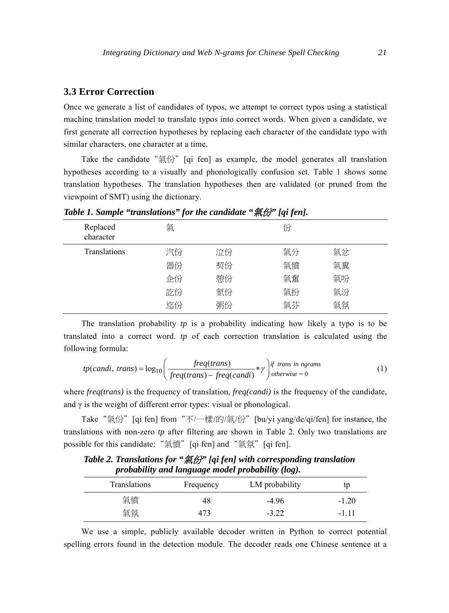#### **3.3 Error Correction**

Once we generate a list of candidates of typos, we attempt to correct typos using a statistical machine translation model to translate typos into correct words. When given a candidate, we first generate all correction hypotheses by replacing each character of the candidate typo with similar characters, one character at a time.

Take the candidate "氣份" [qi fen] as example, the model generates all translation hypotheses according to a visually and phonologically confusion set. Table 1 shows some translation hypotheses. The translation hypotheses then are validated (or pruned from the viewpoint of SMT) using the dictionary.

| Replaced<br>character | 氣  |    | 份  |    |  |
|-----------------------|----|----|----|----|--|
| <b>Translations</b>   | 汽份 | 泣份 | 氣分 | 氣忿 |  |
|                       | 器份 | 契份 | 氣憤 | 氣糞 |  |
|                       | 企份 | 憩份 | 氣奮 | 氣吩 |  |
|                       | 訖份 | 氮份 | 氣扮 | 氣汾 |  |
|                       | 迄份 | 粥份 | 氣芬 | 氣氛 |  |

*Table 1. Sample "translations" for the candidate "*氣份*" [qi fen].* 

The translation probability *tp* is a probability indicating how likely a typo is to be translated into a correct word. *tp* of each correction translation is calculated using the following formula:

$$
tp(candi, trans) = log_{10}\left(\frac{freq(trans)}{freq(trans) - freq(candi)} * \gamma\right) \text{ } if \text{ } trans \text{ } in \text{ } ngrams \tag{1}
$$

where *freq(trans)* is the frequency of translation, *freq(candi)* is the frequency of the candidate, and  $\gamma$  is the weight of different error types: visual or phonological.

Take "氣份" [qi fen] from "不/一樣/的/氣/份" [bu/yi yang/de/qi/fen] for instance, the translations with non-zero *tp* after filtering are shown in Table 2. Only two translations are possible for this candidate: "氣憤" [qi fen] and "氣氛" [qi fen].

*Table 2. Translations for "*氣份*" [qi fen] with corresponding translation probability and language model probability (log).* 

| <b>Translations</b> | Frequency | LM probability | tp      |
|---------------------|-----------|----------------|---------|
| 氣憤                  | 48        | -4 96          | $-1.20$ |
| 氣氛                  | 473       | $-3.22$        | -1 11   |

We use a simple, publicly available decoder written in Python to correct potential spelling errors found in the detection module. The decoder reads one Chinese sentence at a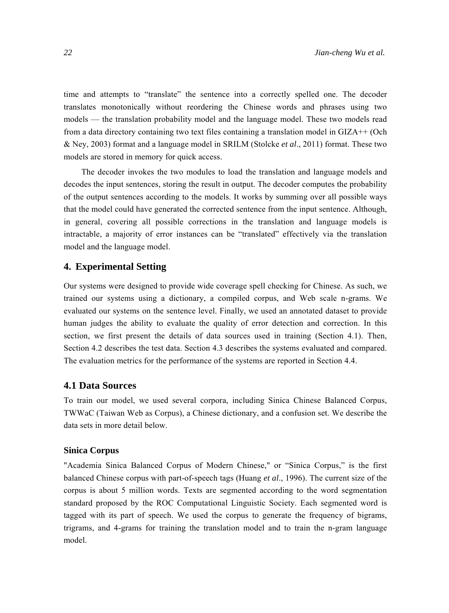time and attempts to "translate" the sentence into a correctly spelled one. The decoder translates monotonically without reordering the Chinese words and phrases using two models — the translation probability model and the language model. These two models read from a data directory containing two text files containing a translation model in GIZA++ (Och & Ney, 2003) format and a language model in SRILM (Stolcke *et al*., 2011) format. These two models are stored in memory for quick access.

The decoder invokes the two modules to load the translation and language models and decodes the input sentences, storing the result in output. The decoder computes the probability of the output sentences according to the models. It works by summing over all possible ways that the model could have generated the corrected sentence from the input sentence. Although, in general, covering all possible corrections in the translation and language models is intractable, a majority of error instances can be "translated" effectively via the translation model and the language model.

# **4. Experimental Setting**

Our systems were designed to provide wide coverage spell checking for Chinese. As such, we trained our systems using a dictionary, a compiled corpus, and Web scale n-grams. We evaluated our systems on the sentence level. Finally, we used an annotated dataset to provide human judges the ability to evaluate the quality of error detection and correction. In this section, we first present the details of data sources used in training (Section 4.1). Then, Section 4.2 describes the test data. Section 4.3 describes the systems evaluated and compared. The evaluation metrics for the performance of the systems are reported in Section 4.4.

#### **4.1 Data Sources**

To train our model, we used several corpora, including Sinica Chinese Balanced Corpus, TWWaC (Taiwan Web as Corpus), a Chinese dictionary, and a confusion set. We describe the data sets in more detail below.

#### **Sinica Corpus**

"Academia Sinica Balanced Corpus of Modern Chinese," or "Sinica Corpus," is the first balanced Chinese corpus with part-of-speech tags (Huang *et al*., 1996). The current size of the corpus is about 5 million words. Texts are segmented according to the word segmentation standard proposed by the ROC Computational Linguistic Society. Each segmented word is tagged with its part of speech. We used the corpus to generate the frequency of bigrams, trigrams, and 4-grams for training the translation model and to train the n-gram language model.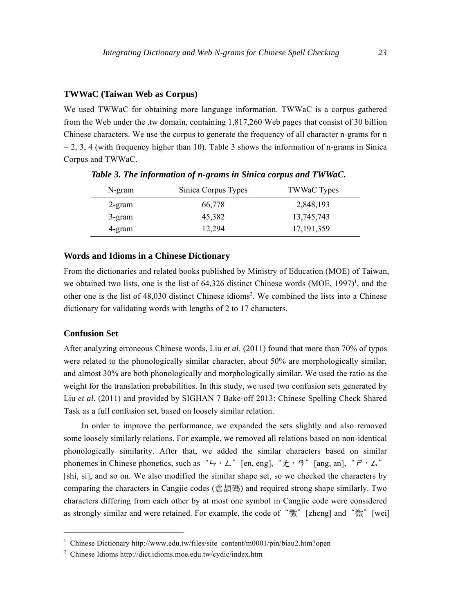#### **TWWaC (Taiwan Web as Corpus)**

We used TWWaC for obtaining more language information. TWWaC is a corpus gathered from the Web under the .tw domain, containing 1,817,260 Web pages that consist of 30 billion Chinese characters. We use the corpus to generate the frequency of all character n-grams for n  $= 2, 3, 4$  (with frequency higher than 10). Table 3 shows the information of n-grams in Sinica Corpus and TWWaC.

| N-gram    | Sinica Corpus Types | <b>TWWaC Types</b> |
|-----------|---------------------|--------------------|
| $2$ -gram | 66,778              | 2,848,193          |
| 3-gram    | 45,382              | 13,745,743         |
| 4-gram    | 12,294              | 17, 191, 359       |

*Table 3. The information of n-grams in Sinica corpus and TWWaC.* 

#### **Words and Idioms in a Chinese Dictionary**

From the dictionaries and related books published by Ministry of Education (MOE) of Taiwan, we obtained two lists, one is the list of  $64,326$  distinct Chinese words (MOE, 1997)<sup>1</sup>, and the other one is the list of 48,030 distinct Chinese idioms2 . We combined the lists into a Chinese dictionary for validating words with lengths of 2 to 17 characters.

#### **Confusion Set**

After analyzing erroneous Chinese words, Liu *et al*. (2011) found that more than 70% of typos were related to the phonologically similar character, about 50% are morphologically similar, and almost 30% are both phonologically and morphologically similar. We used the ratio as the weight for the translation probabilities. In this study, we used two confusion sets generated by Liu *et al*. (2011) and provided by SIGHAN 7 Bake-off 2013: Chinese Spelling Check Shared Task as a full confusion set, based on loosely similar relation.

In order to improve the performance, we expanded the sets slightly and also removed some loosely similarly relations. For example, we removed all relations based on non-identical phonologically similarity. After that, we added the similar characters based on similar phonemes in Chinese phonetics, such as "ㄣ, ㄥ"[en, eng], "t, ㄢ"[ang, an], " i, ム" [shi, si], and so on. We also modified the similar shape set, so we checked the characters by comparing the characters in Cangiie codes (貪頡碼) and required strong shape similarly. Two characters differing from each other by at most one symbol in Cangjie code were considered as strongly similar and were retained. For example, the code of "徵" [zheng] and "微" [wei]

<sup>&</sup>lt;sup>1</sup> Chinese Dictionary http://www.edu.tw/files/site\_content/m0001/pin/biau2.htm?open

<sup>2</sup> Chinese Idioms http://dict.idioms.moe.edu.tw/cydic/index.htm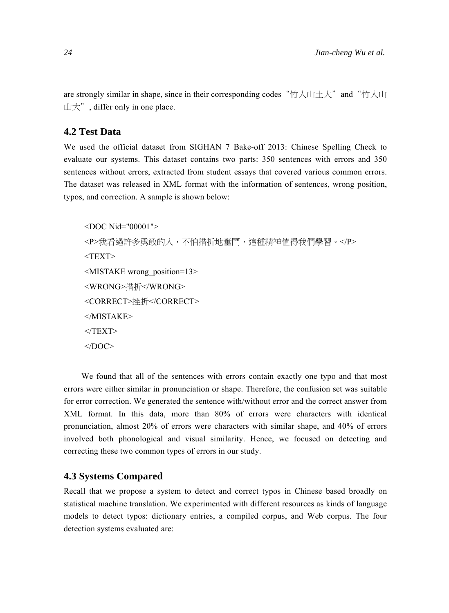are strongly similar in shape, since in their corresponding codes "竹人山土大" and "竹人山 山大", differ only in one place.

# **4.2 Test Data**

We used the official dataset from SIGHAN 7 Bake-off 2013: Chinese Spelling Check to evaluate our systems. This dataset contains two parts: 350 sentences with errors and 350 sentences without errors, extracted from student essays that covered various common errors. The dataset was released in XML format with the information of sentences, wrong position, typos, and correction. A sample is shown below:

```
<DOC Nid="00001"> 
<P>我看過許多勇敢的人,不怕措折地奮鬥,這種精神值得我們學習。</P>
<TEXT><MISTAKE wrong_position=13> 
<WRONG>措折</WRONG> 
<CORRECT>挫折</CORRECT> 
</MISTAKE> 
</TEXT></DOC>
```
We found that all of the sentences with errors contain exactly one typo and that most errors were either similar in pronunciation or shape. Therefore, the confusion set was suitable for error correction. We generated the sentence with/without error and the correct answer from XML format. In this data, more than 80% of errors were characters with identical pronunciation, almost 20% of errors were characters with similar shape, and 40% of errors involved both phonological and visual similarity. Hence, we focused on detecting and correcting these two common types of errors in our study.

#### **4.3 Systems Compared**

Recall that we propose a system to detect and correct typos in Chinese based broadly on statistical machine translation. We experimented with different resources as kinds of language models to detect typos: dictionary entries, a compiled corpus, and Web corpus. The four detection systems evaluated are: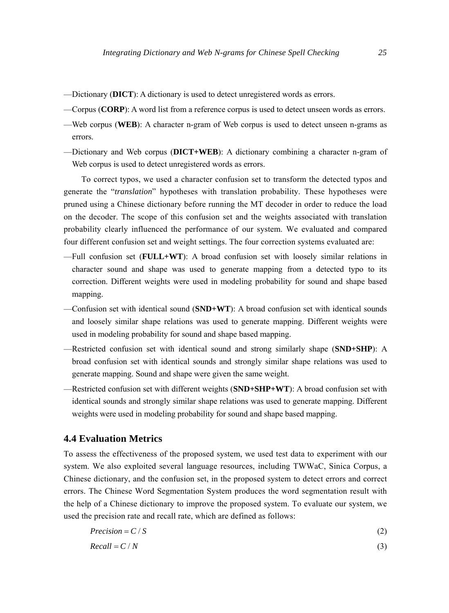- —Dictionary (**DICT**): A dictionary is used to detect unregistered words as errors.
- —Corpus (**CORP**): A word list from a reference corpus is used to detect unseen words as errors.
- —Web corpus (**WEB**): A character n-gram of Web corpus is used to detect unseen n-grams as errors.
- —Dictionary and Web corpus (**DICT+WEB**): A dictionary combining a character n-gram of Web corpus is used to detect unregistered words as errors.

To correct typos, we used a character confusion set to transform the detected typos and generate the "*translation*" hypotheses with translation probability. These hypotheses were pruned using a Chinese dictionary before running the MT decoder in order to reduce the load on the decoder. The scope of this confusion set and the weights associated with translation probability clearly influenced the performance of our system. We evaluated and compared four different confusion set and weight settings. The four correction systems evaluated are:

- —Full confusion set (**FULL+WT**): A broad confusion set with loosely similar relations in character sound and shape was used to generate mapping from a detected typo to its correction. Different weights were used in modeling probability for sound and shape based mapping.
- —Confusion set with identical sound (**SND+WT**): A broad confusion set with identical sounds and loosely similar shape relations was used to generate mapping. Different weights were used in modeling probability for sound and shape based mapping.
- —Restricted confusion set with identical sound and strong similarly shape (**SND+SHP**): A broad confusion set with identical sounds and strongly similar shape relations was used to generate mapping. Sound and shape were given the same weight.
- —Restricted confusion set with different weights (**SND+SHP+WT**): A broad confusion set with identical sounds and strongly similar shape relations was used to generate mapping. Different weights were used in modeling probability for sound and shape based mapping.

# **4.4 Evaluation Metrics**

To assess the effectiveness of the proposed system, we used test data to experiment with our system. We also exploited several language resources, including TWWaC, Sinica Corpus, a Chinese dictionary, and the confusion set, in the proposed system to detect errors and correct errors. The Chinese Word Segmentation System produces the word segmentation result with the help of a Chinese dictionary to improve the proposed system. To evaluate our system, we used the precision rate and recall rate, which are defined as follows:

$$
Precision = C / S \tag{2}
$$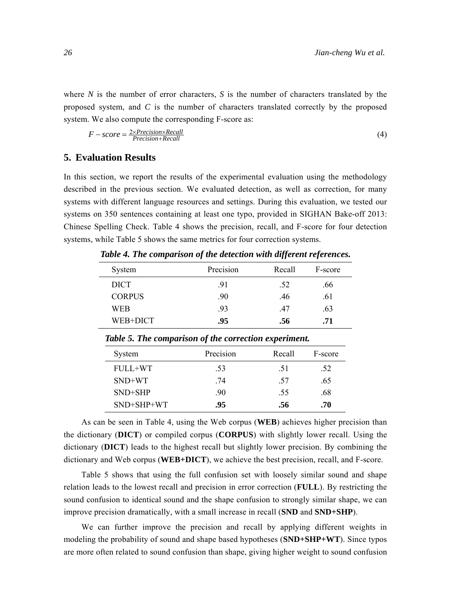where *N* is the number of error characters, *S* is the number of characters translated by the proposed system, and *C* is the number of characters translated correctly by the proposed system. We also compute the corresponding F-score as:

$$
F-score = \frac{2 \times Precision \times Recall}{Precision + Recall}
$$
 (4)

# **5. Evaluation Results**

In this section, we report the results of the experimental evaluation using the methodology described in the previous section. We evaluated detection, as well as correction, for many systems with different language resources and settings. During this evaluation, we tested our systems on 350 sentences containing at least one typo, provided in SIGHAN Bake-off 2013: Chinese Spelling Check. Table 4 shows the precision, recall, and F-score for four detection systems, while Table 5 shows the same metrics for four correction systems.

| System        | Precision | Recall | F-score |
|---------------|-----------|--------|---------|
| <b>DICT</b>   | .91       | .52    | .66     |
| <b>CORPUS</b> | .90       | .46    | .61     |
| WEB           | .93       | .47    | .63     |
| WEB+DICT      | .95       | .56    | .71     |

*Table 4. The comparison of the detection with different references.* 

| System       | Precision | Recall | F-score |
|--------------|-----------|--------|---------|
| FULL+WT      | .53       | .51    | .52     |
| $SND+WT$     | .74       | .57    | .65     |
| $SND+SHP$    | .90       | .55    | .68     |
| $SND+SHP+WT$ | .95       | .56    | .70     |
|              |           |        |         |

*Table 5. The comparison of the correction experiment.* 

As can be seen in Table 4, using the Web corpus (**WEB**) achieves higher precision than the dictionary (**DICT**) or compiled corpus (**CORPUS**) with slightly lower recall. Using the dictionary (**DICT**) leads to the highest recall but slightly lower precision. By combining the dictionary and Web corpus (**WEB+DICT**), we achieve the best precision, recall, and F-score.

Table 5 shows that using the full confusion set with loosely similar sound and shape relation leads to the lowest recall and precision in error correction (**FULL**). By restricting the sound confusion to identical sound and the shape confusion to strongly similar shape, we can improve precision dramatically, with a small increase in recall (**SND** and **SND+SHP**).

We can further improve the precision and recall by applying different weights in modeling the probability of sound and shape based hypotheses (**SND+SHP+WT**). Since typos are more often related to sound confusion than shape, giving higher weight to sound confusion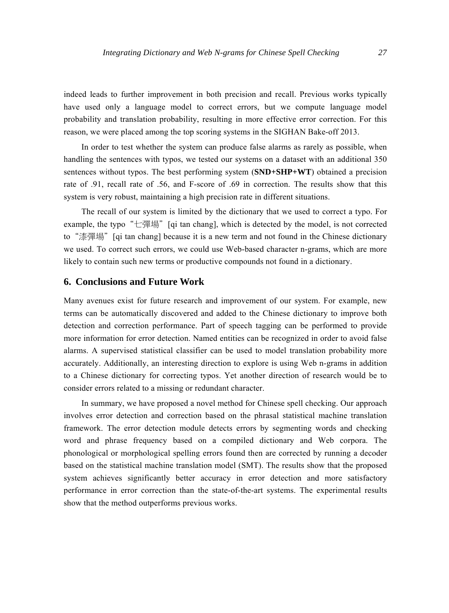indeed leads to further improvement in both precision and recall. Previous works typically have used only a language model to correct errors, but we compute language model probability and translation probability, resulting in more effective error correction. For this reason, we were placed among the top scoring systems in the SIGHAN Bake-off 2013.

In order to test whether the system can produce false alarms as rarely as possible, when handling the sentences with typos, we tested our systems on a dataset with an additional 350 sentences without typos. The best performing system (**SND+SHP+WT**) obtained a precision rate of .91, recall rate of .56, and F-score of .69 in correction. The results show that this system is very robust, maintaining a high precision rate in different situations.

The recall of our system is limited by the dictionary that we used to correct a typo. For example, the typo "七彈場" [qi tan chang], which is detected by the model, is not corrected to "漆彈場" [qi tan chang] because it is a new term and not found in the Chinese dictionary we used. To correct such errors, we could use Web-based character n-grams, which are more likely to contain such new terms or productive compounds not found in a dictionary.

# **6. Conclusions and Future Work**

Many avenues exist for future research and improvement of our system. For example, new terms can be automatically discovered and added to the Chinese dictionary to improve both detection and correction performance. Part of speech tagging can be performed to provide more information for error detection. Named entities can be recognized in order to avoid false alarms. A supervised statistical classifier can be used to model translation probability more accurately. Additionally, an interesting direction to explore is using Web n-grams in addition to a Chinese dictionary for correcting typos. Yet another direction of research would be to consider errors related to a missing or redundant character.

In summary, we have proposed a novel method for Chinese spell checking. Our approach involves error detection and correction based on the phrasal statistical machine translation framework. The error detection module detects errors by segmenting words and checking word and phrase frequency based on a compiled dictionary and Web corpora. The phonological or morphological spelling errors found then are corrected by running a decoder based on the statistical machine translation model (SMT). The results show that the proposed system achieves significantly better accuracy in error detection and more satisfactory performance in error correction than the state-of-the-art systems. The experimental results show that the method outperforms previous works.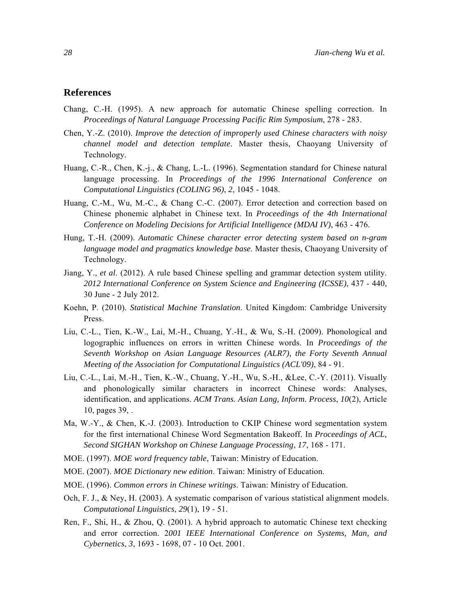# **References**

- Chang, C.-H. (1995). A new approach for automatic Chinese spelling correction. In *Proceedings of Natural Language Processing Pacific Rim Symposium*, 278 - 283.
- Chen, Y.-Z. (2010). *Improve the detection of improperly used Chinese characters with noisy channel model and detection template*. Master thesis, Chaoyang University of Technology.
- Huang, C.-R., Chen, K.-j., & Chang, L.-L. (1996). Segmentation standard for Chinese natural language processing. In *Proceedings of the 1996 International Conference on Computational Linguistics (COLING 96)*, *2*, 1045 - 1048.
- Huang, C.-M., Wu, M.-C., & Chang C.-C. (2007). Error detection and correction based on Chinese phonemic alphabet in Chinese text. In *Proceedings of the 4th International Conference on Modeling Decisions for Artificial Intelligence (MDAI IV)*, 463 - 476.
- Hung, T.-H. (2009). *Automatic Chinese character error detecting system based on n-gram language model and pragmatics knowledge base*. Master thesis, Chaoyang University of Technology.
- Jiang, Y., *et al*. (2012). A rule based Chinese spelling and grammar detection system utility. *2012 International Conference on System Science and Engineering (ICSSE)*, 437 - 440, 30 June - 2 July 2012.
- Koehn, P. (2010). *Statistical Machine Translation*. United Kingdom: Cambridge University Press.
- Liu, C.-L., Tien, K.-W., Lai, M.-H., Chuang, Y.-H., & Wu, S.-H. (2009). Phonological and logographic influences on errors in written Chinese words. In *Proceedings of the Seventh Workshop on Asian Language Resources (ALR7), the Forty Seventh Annual Meeting of the Association for Computational Linguistics (ACL'09)*, 84 - 91.
- Liu, C.-L., Lai, M.-H., Tien, K.-W., Chuang, Y.-H., Wu, S.-H., &Lee, C.-Y. (2011). Visually and phonologically similar characters in incorrect Chinese words: Analyses, identification, and applications. *ACM Trans. Asian Lang, Inform. Process*, *10*(2), Article 10, pages 39, .
- Ma, W.-Y., & Chen, K.-J. (2003). Introduction to CKIP Chinese word segmentation system for the first international Chinese Word Segmentation Bakeoff. In *Proceedings of ACL, Second SIGHAN Workshop on Chinese Language Processing*, *17*, 168 - 171.
- MOE. (1997). *MOE word frequency table*, Taiwan: Ministry of Education.
- MOE. (2007). *MOE Dictionary new edition*. Taiwan: Ministry of Education.
- MOE. (1996). *Common errors in Chinese writings*. Taiwan: Ministry of Education.
- Och, F. J., & Ney, H. (2003). A systematic comparison of various statistical alignment models. *Computational Linguistics*, *29*(1), 19 - 51.
- Ren, F., Shi, H., & Zhou, Q. (2001). A hybrid approach to automatic Chinese text checking and error correction. 2*001 IEEE International Conference on Systems, Man, and Cybernetics*, *3*, 1693 - 1698, 07 - 10 Oct. 2001.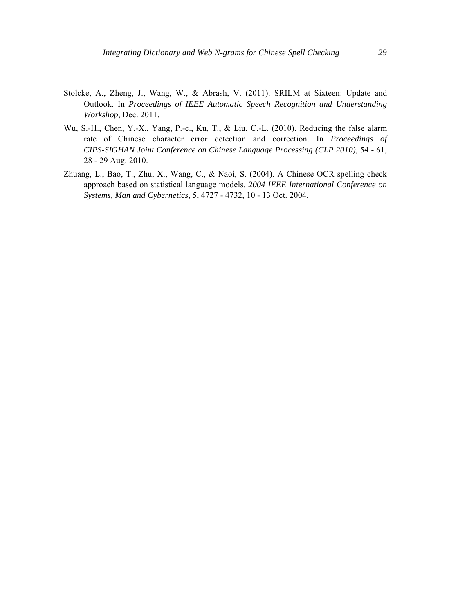- Stolcke, A., Zheng, J., Wang, W., & Abrash, V. (2011). SRILM at Sixteen: Update and Outlook. In *Proceedings of IEEE Automatic Speech Recognition and Understanding Workshop*, Dec. 2011.
- Wu, S.-H., Chen, Y.-X., Yang, P.-c., Ku, T., & Liu, C.-L. (2010). Reducing the false alarm rate of Chinese character error detection and correction. In *Proceedings of CIPS-SIGHAN Joint Conference on Chinese Language Processing (CLP 2010)*, 54 - 61, 28 - 29 Aug. 2010.
- Zhuang, L., Bao, T., Zhu, X., Wang, C., & Naoi, S. (2004). A Chinese OCR spelling check approach based on statistical language models. *2004 IEEE International Conference on Systems, Man and Cybernetics*, 5, 4727 - 4732, 10 - 13 Oct. 2004.